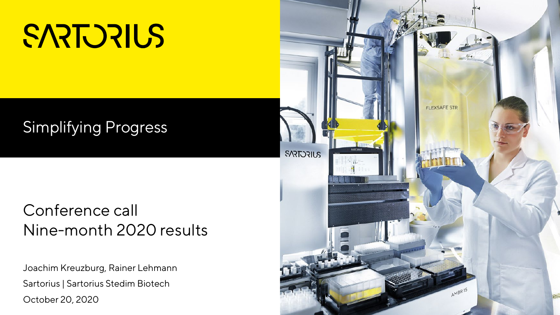# SARTURIUS

# Simplifying Progress

#### Conference call Nine-month 2020 results

Joachim Kreuzburg, Rainer Lehmann Sartorius | Sartorius Stedim Biotech October 20, 2020

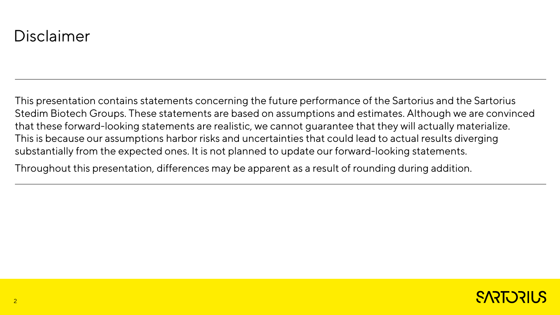#### Disclaimer

This presentation contains statements concerning the future performance of the Sartorius and the Sartorius Stedim Biotech Groups. These statements are based on assumptions and estimates. Although we are convinced that these forward-looking statements are realistic, we cannot guarantee that they will actually materialize. This is because our assumptions harbor risks and uncertainties that could lead to actual results diverging substantially from the expected ones. It is not planned to update our forward-looking statements.

Throughout this presentation, differences may be apparent as a result of rounding during addition.

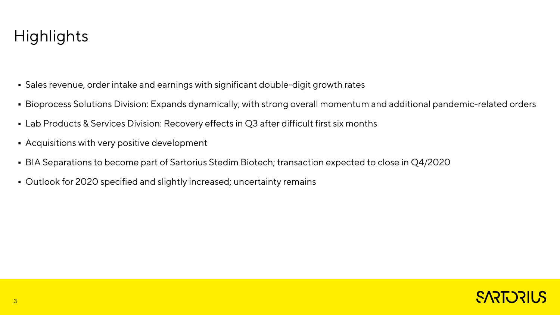## **Highlights**

- Sales revenue, order intake and earnings with significant double-digit growth rates
- Bioprocess Solutions Division: Expands dynamically; with strong overall momentum and additional pandemic-related orders
- Lab Products & Services Division: Recovery effects in Q3 after difficult first six months
- Acquisitions with very positive development
- BIA Separations to become part of Sartorius Stedim Biotech; transaction expected to close in Q4/2020
- Outlook for 2020 specified and slightly increased; uncertainty remains

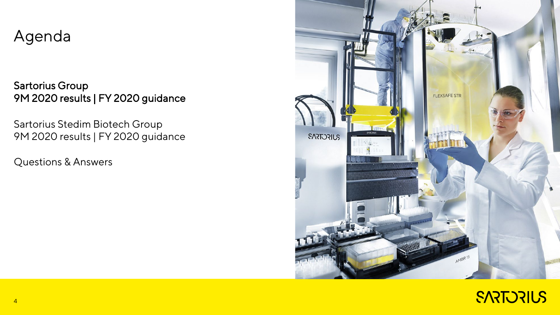#### Agenda

Sartorius Group 9M 2020 results | FY 2020 guidance

Sartorius Stedim Biotech Group 9M 2020 results | FY 2020 guidance

Questions & Answers



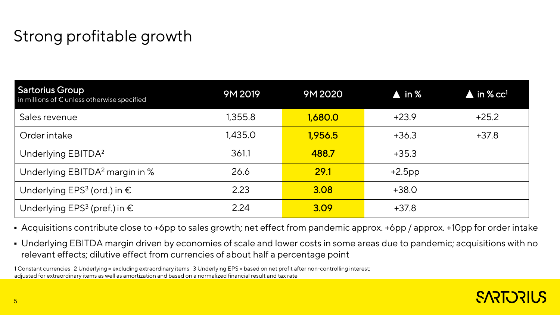# Strong profitable growth

| <b>Sartorius Group</b><br>in millions of $\epsilon$ unless otherwise specified | 9M 2019 | 9M 2020 | $\blacktriangle$ in % | $\blacktriangle$ in % cc <sup>1</sup> |
|--------------------------------------------------------------------------------|---------|---------|-----------------------|---------------------------------------|
| Sales revenue                                                                  | 1,355.8 | 1,680.0 | $+23.9$               | $+25.2$                               |
| Order intake                                                                   | 1,435.0 | 1,956.5 | $+36.3$               | $+37.8$                               |
| Underlying EBITDA <sup>2</sup>                                                 | 361.1   | 488.7   | $+35.3$               |                                       |
| Underlying EBITDA <sup>2</sup> margin in %                                     | 26.6    | 29.1    | $+2.5$ pp             |                                       |
| Underlying EPS <sup>3</sup> (ord.) in $\epsilon$                               | 2.23    | 3.08    | $+38.0$               |                                       |
| Underlying EPS <sup>3</sup> (pref.) in $\epsilon$                              | 2.24    | 3.09    | $+37.8$               |                                       |

Acquisitions contribute close to +6pp to sales growth; net effect from pandemic approx. +6pp / approx. +10pp for order intake

 Underlying EBITDA margin driven by economies of scale and lower costs in some areas due to pandemic; acquisitions with no relevant effects; dilutive effect from currencies of about half a percentage point

1 Constant currencies 2 Underlying = excluding extraordinary items 3 Underlying EPS = based on net profit after non-controlling interest; adjusted for extraordinary items as well as amortization and based on a normalized financial result and tax rate

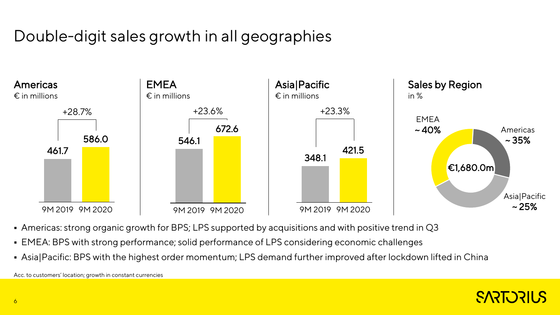# Double-digit sales growth in all geographies



- Americas: strong organic growth for BPS; LPS supported by acquisitions and with positive trend in Q3
- EMEA: BPS with strong performance; solid performance of LPS considering economic challenges
- Asia|Pacific: BPS with the highest order momentum; LPS demand further improved after lockdown lifted in China

Acc. to customers' location; growth in constant currencies

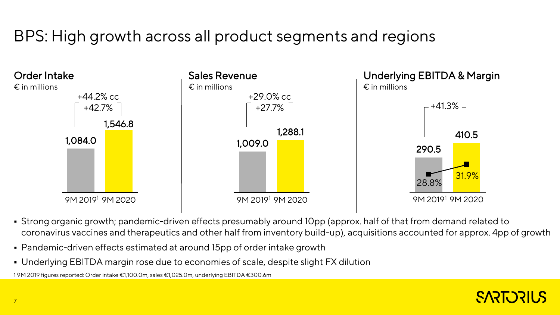# BPS: High growth across all product segments and regions



- Strong organic growth; pandemic-driven effects presumably around 10pp (approx. half of that from demand related to coronavirus vaccines and therapeutics and other half from inventory build-up), acquisitions accounted for approx. 4pp of growth
- Pandemic-driven effects estimated at around 15pp of order intake growth
- Underlying EBITDA margin rose due to economies of scale, despite slight FX dilution

1 9M 2019 figures reported: Order intake €1,100.0m, sales €1,025.0m, underlying EBITDA €300.6m

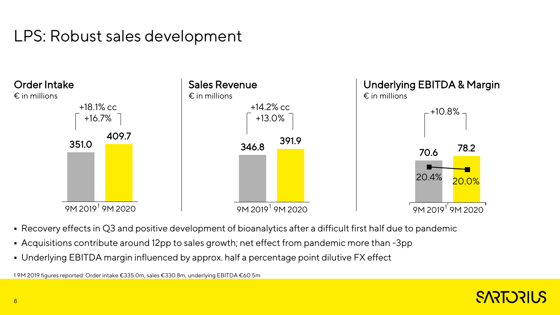## LPS: Robust sales development



- Recovery effects in Q3 and positive development of bioanalytics after a difficult first half due to pandemic
- Acquisitions contribute around 12pp to sales growth; net effect from pandemic more than -3pp
- Underlying EBITDA margin influenced by approx. half a percentage point dilutive FX effect

1 9M 2019 figures reported: Order intake €335.0m, sales €330.8m, underlying EBITDA €60.5m

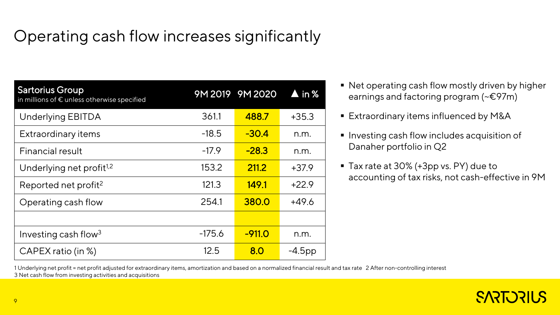# Operating cash flow increases significantly

| <b>Sartorius Group</b><br>in millions of € unless otherwise specified |          | 9M 2019 9M 2020 | $\blacktriangle$ in % |
|-----------------------------------------------------------------------|----------|-----------------|-----------------------|
| <b>Underlying EBITDA</b>                                              | 361.1    | 488.7           | $+35.3$               |
| <b>Extraordinary items</b>                                            | $-18.5$  | $-30.4$         | n.m.                  |
| <b>Financial result</b>                                               | $-17.9$  | $-28.3$         | n.m.                  |
| Underlying net profit <sup>1,2</sup>                                  | 153.2    | 211.2           | +37.9                 |
| Reported net profit <sup>2</sup>                                      | 121.3    | 149.1           | $+22.9$               |
| Operating cash flow                                                   | 254.1    | 380.0           | $+49.6$               |
|                                                                       |          |                 |                       |
| Investing cash flow <sup>3</sup>                                      | $-175.6$ | $-911.0$        | n.m.                  |
| CAPEX ratio (in %)                                                    | 12.5     | 8.0             | $-4.5$ pp             |

- Net operating cash flow mostly driven by higher earnings and factoring program (~€97m)
- Extraordinary items influenced by M&A
- Investing cash flow includes acquisition of Danaher portfolio in Q2
- Tax rate at 30% (+3pp vs. PY) due to accounting of tax risks, not cash-effective in 9M

1 Underlying net profit = net profit adjusted for extraordinary items, amortization and based on a normalized financial result and tax rate 2 After non-controlling interest 3 Net cash flow from investing activities and acquisitions

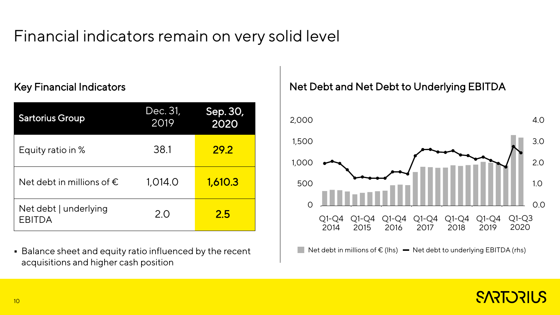## Financial indicators remain on very solid level

#### Key Financial Indicators

| <b>Sartorius Group</b>                 | Dec. 31,<br>2019 | Sep. 30,<br>2020 | 2,000          |
|----------------------------------------|------------------|------------------|----------------|
| Equity ratio in %                      | 38.1             | <b>29.2</b>      | 1,500<br>1,000 |
| Net debt in millions of $\epsilon$     | 1,014.0          | 1,610.3          | 500            |
| Net debt   underlying<br><b>EBITDA</b> | 2.0              | 2.5              | Q1-Q4<br>2014  |

 Balance sheet and equity ratio influenced by the recent acquisitions and higher cash position

#### Net Debt and Net Debt to Underlying EBITDA



Net debt in millions of  $\epsilon$  (lhs)  $\blacksquare$  Net debt to underlying EBITDA (rhs)

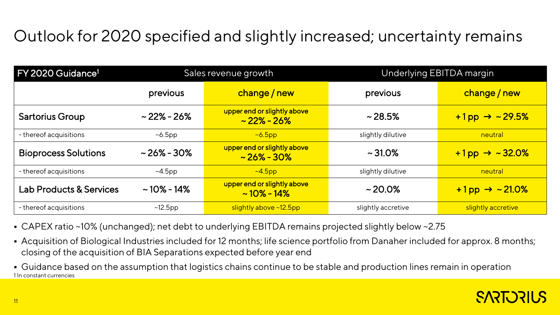# Outlook for 2020 specified and slightly increased; uncertainty remains

| FY 2020 Guidance <sup>1</sup>      | Sales revenue growth |                                                 | Underlying EBITDA margin |                              |
|------------------------------------|----------------------|-------------------------------------------------|--------------------------|------------------------------|
|                                    | previous             | change / new                                    | previous                 | change / new                 |
| <b>Sartorius Group</b>             | $\sim$ 22% - 26%     | upper end or slightly above<br>$\sim$ 22% - 26% | $\sim$ 28.5%             | $+1$ pp $\rightarrow$ ~29.5% |
| - thereof acquisitions             | $~6.5$ pp            | $~6.5$ pp                                       | slightly dilutive        | neutral                      |
| <b>Bioprocess Solutions</b>        | $\sim$ 26% - 30%     | upper end or slightly above<br>$\sim$ 26% - 30% | $\sim$ 31.0%             | $+1$ pp $\rightarrow$ ~32.0% |
| - thereof acquisitions             | $~\sim$ 4.5pp        | $~\sim$ 4.5pp                                   | slightly dilutive        | neutral                      |
| <b>Lab Products &amp; Services</b> | $\sim$ 10% - 14%     | upper end or slightly above<br>$\sim$ 10% - 14% | $\sim$ 20.0%             | $+1$ pp $\rightarrow$ ~21.0% |
| - thereof acquisitions             | $~12.5$ pp           | slightly above ~12.5pp                          | slightly accretive       | slightly accretive           |

- CAPEX ratio ~10% (unchanged); net debt to underlying EBITDA remains projected slightly below ~2.75
- Acquisition of Biological Industries included for 12 months; life science portfolio from Danaher included for approx. 8 months; closing of the acquisition of BIA Separations expected before year end
- 1 In constant currencies Guidance based on the assumption that logistics chains continue to be stable and production lines remain in operation

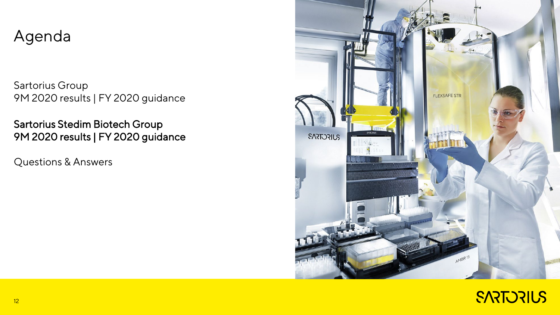#### Agenda

Sartorius Group 9M 2020 results | FY 2020 guidance

Sartorius Stedim Biotech Group 9M 2020 results | FY 2020 guidance

Questions & Answers



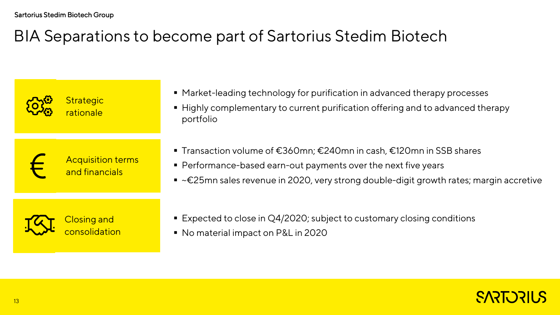## BIA Separations to become part of Sartorius Stedim Biotech

| <b>Strategic</b><br>rationale              | • Market-leading technology for purification in advanced therapy processes<br>■ Highly complementary to current purification offering and to advanced therapy<br>portfolio                                                                           |
|--------------------------------------------|------------------------------------------------------------------------------------------------------------------------------------------------------------------------------------------------------------------------------------------------------|
| <b>Acquisition terms</b><br>and financials | ■ Transaction volume of €360mn; €240mn in cash, €120mn in SSB shares<br>• Performance-based earn-out payments over the next five years<br>$\bullet$ ~ $\epsilon$ 25mn sales revenue in 2020, very strong double-digit growth rates; margin accretive |
| <b>Closing and</b><br>consolidation        | ■ Expected to close in Q4/2020; subject to customary closing conditions<br>• No material impact on P&L in 2020                                                                                                                                       |

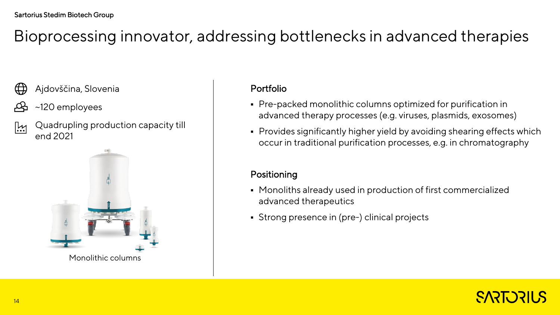## Bioprocessing innovator, addressing bottlenecks in advanced therapies

- Ajdovščina, Slovenia  $\bigoplus$
- ~120 employees
- Quadrupling production capacity till <u>|!\</u> end 2021



#### Portfolio

- Pre-packed monolithic columns optimized for purification in advanced therapy processes (e.g. viruses, plasmids, exosomes)
- Provides significantly higher yield by avoiding shearing effects which occur in traditional purification processes, e.g. in chromatography

#### Positioning

- Monoliths already used in production of first commercialized advanced therapeutics
- Strong presence in (pre-) clinical projects

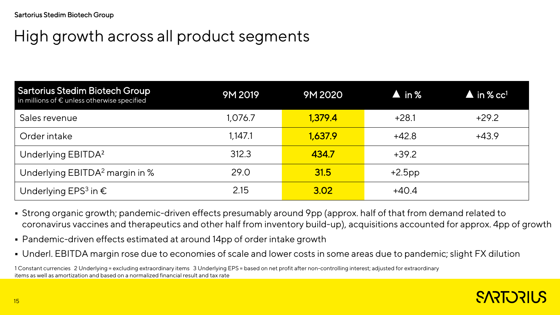## High growth across all product segments

| <b>Sartorius Stedim Biotech Group</b><br>in millions of € unless otherwise specified | 9M 2019 | 9M 2020 | $\blacktriangle$ in % | $\blacktriangle$ in % cc <sup>1</sup> |
|--------------------------------------------------------------------------------------|---------|---------|-----------------------|---------------------------------------|
| Sales revenue                                                                        | 1,076.7 | 1,379.4 | $+28.1$               | $+29.2$                               |
| Order intake                                                                         | 1,147.1 | 1,637.9 | $+42.8$               | $+43.9$                               |
| Underlying EBITDA <sup>2</sup>                                                       | 312.3   | 434.7   | $+39.2$               |                                       |
| Underlying EBITDA <sup>2</sup> margin in %                                           | 29.0    | 31.5    | $+2.5$ pp             |                                       |
| Underlying EPS <sup>3</sup> in $\epsilon$                                            | 2.15    | 3.02    | $+40.4$               |                                       |

- Strong organic growth; pandemic-driven effects presumably around 9pp (approx. half of that from demand related to coronavirus vaccines and therapeutics and other half from inventory build-up), acquisitions accounted for approx. 4pp of growth
- Pandemic-driven effects estimated at around 14pp of order intake growth
- Underl. EBITDA margin rose due to economies of scale and lower costs in some areas due to pandemic; slight FX dilution

1 Constant currencies 2 Underlying = excluding extraordinary items 3 Underlying EPS = based on net profit after non-controlling interest; adjusted for extraordinary items as well as amortization and based on a normalized financial result and tax rate

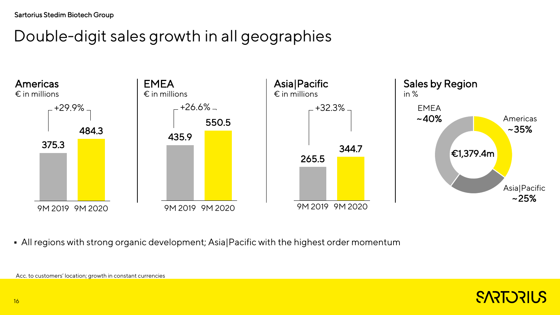## Double-digit sales growth in all geographies



All regions with strong organic development; Asia|Pacific with the highest order momentum



Acc. to customers' location; growth in constant currencies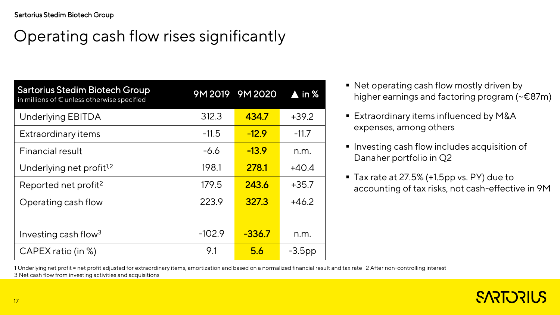# Operating cash flow rises significantly

| <b>Sartorius Stedim Biotech Group</b><br>in millions of € unless otherwise specified |          | 9M 2019 9M 2020 | $\blacktriangle$ in % |
|--------------------------------------------------------------------------------------|----------|-----------------|-----------------------|
| <b>Underlying EBITDA</b>                                                             | 312.3    | 434.7           | $+39.2$               |
| <b>Extraordinary items</b>                                                           | $-11.5$  | $-12.9$         | $-11.7$               |
| Financial result                                                                     | $-6.6$   | $-13.9$         | n.m.                  |
| Underlying net profit <sup>1,2</sup>                                                 | 198.1    | 278.1           | $+40.4$               |
| Reported net profit <sup>2</sup>                                                     | 179.5    | 243.6           | $+35.7$               |
| Operating cash flow                                                                  | 223.9    | 327.3           | $+46.2$               |
|                                                                                      |          |                 |                       |
| Investing cash flow <sup>3</sup>                                                     | $-102.9$ | $-336.7$        | n.m.                  |
| CAPEX ratio (in %)                                                                   | 9.1      | 5.6             | $-3.5$ pp             |

- Net operating cash flow mostly driven by higher earnings and factoring program (~€87m)
- **Extraordinary items influenced by M&A** expenses, among others
- **Investing cash flow includes acquisition of** Danaher portfolio in Q2
- Tax rate at 27.5% (+1.5pp vs. PY) due to accounting of tax risks, not cash-effective in 9M

1 Underlying net profit = net profit adjusted for extraordinary items, amortization and based on a normalized financial result and tax rate 2 After non-controlling interest 3 Net cash flow from investing activities and acquisitions

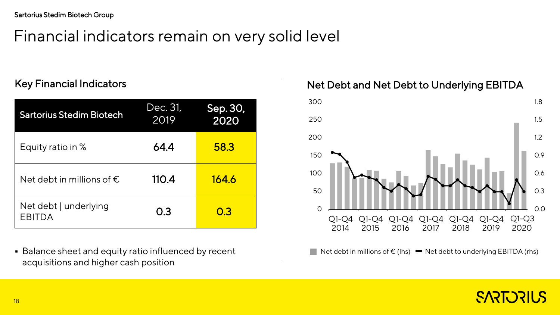## Financial indicators remain on very solid level

#### Key Financial Indicators

| <b>Sartorius Stedim Biotech</b>        | Dec. 31,<br>2019 | Sep. 30,<br>2020 |
|----------------------------------------|------------------|------------------|
| Equity ratio in %                      | 64.4             | 58.3             |
| Net debt in millions of $\epsilon$     | 110.4            | 164.6            |
| Net debt   underlying<br><b>EBITDA</b> | 0.3              | 0.3              |

**Balance sheet and equity ratio influenced by recent** acquisitions and higher cash position

Net Debt and Net Debt to Underlying EBITDA



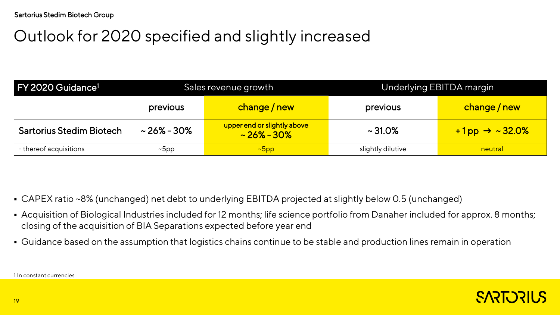# Outlook for 2020 specified and slightly increased

| FY 2020 Guidance <sup>1</sup>   |                  | Sales revenue growth                            | Underlying EBITDA margin |                              |
|---------------------------------|------------------|-------------------------------------------------|--------------------------|------------------------------|
|                                 | previous         | change / new                                    | previous                 | change / new                 |
| <b>Sartorius Stedim Biotech</b> | $\sim$ 26% - 30% | upper end or slightly above<br>$\sim$ 26% - 30% | $\sim$ 31.0%             | $+1$ pp $\rightarrow$ ~32.0% |
| - thereof acquisitions          | $~\sim$ bpp      | $\sim$ 5pp                                      | slightly dilutive        | neutral                      |

- CAPEX ratio ~8% (unchanged) net debt to underlying EBITDA projected at slightly below 0.5 (unchanged)
- Acquisition of Biological Industries included for 12 months; life science portfolio from Danaher included for approx. 8 months; closing of the acquisition of BIA Separations expected before year end
- Guidance based on the assumption that logistics chains continue to be stable and production lines remain in operation

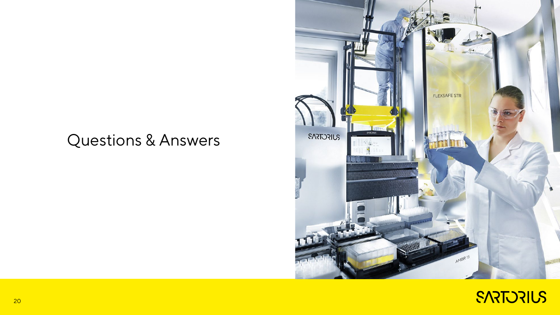#### Questions & Answers